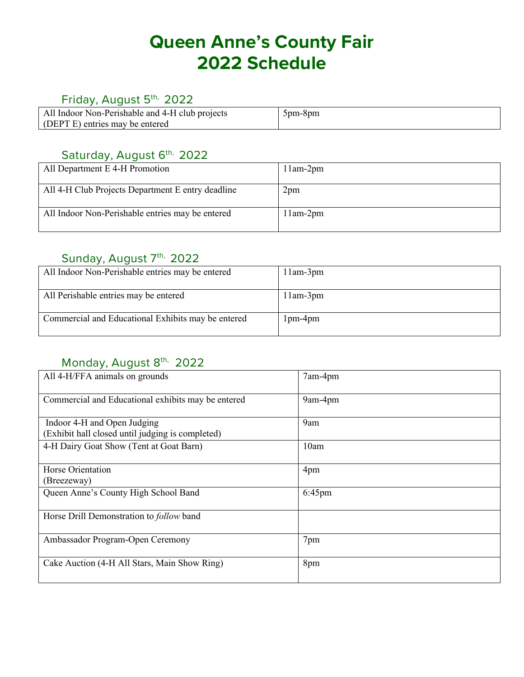# **Queen Anne's County Fair 2022 Schedule**

#### Friday, August 5<sup>th,</sup> 2022

| All Indoor Non-Perishable and 4-H club projects | $5pm-8pm$ |
|-------------------------------------------------|-----------|
| (DEPT E) entries may be entered                 |           |

### Saturday, August 6<sup>th,</sup> 2022

| All Department E 4-H Promotion                    | $11am-2pm$ |
|---------------------------------------------------|------------|
| All 4-H Club Projects Department E entry deadline | 2pm        |
| All Indoor Non-Perishable entries may be entered  | $11am-2pm$ |

#### Sunday, August 7<sup>th,</sup> 2022

| All Indoor Non-Perishable entries may be entered   | $11am-3pm$      |
|----------------------------------------------------|-----------------|
| All Perishable entries may be entered              | $11$ am- $3$ pm |
| Commercial and Educational Exhibits may be entered | $1pm-4pm$       |

### Monday, August 8<sup>th,</sup> 2022

| All 4-H/FFA animals on grounds                                                  | 7am-4pm |
|---------------------------------------------------------------------------------|---------|
| Commercial and Educational exhibits may be entered                              | 9am-4pm |
| Indoor 4-H and Open Judging<br>(Exhibit hall closed until judging is completed) | 9am     |
| 4-H Dairy Goat Show (Tent at Goat Barn)                                         | 10am    |
| Horse Orientation<br>(Breezeway)                                                | 4pm     |
| Queen Anne's County High School Band                                            | 6:45pm  |
| Horse Drill Demonstration to <i>follow</i> band                                 |         |
| Ambassador Program-Open Ceremony                                                | 7pm     |
| Cake Auction (4-H All Stars, Main Show Ring)                                    | 8pm     |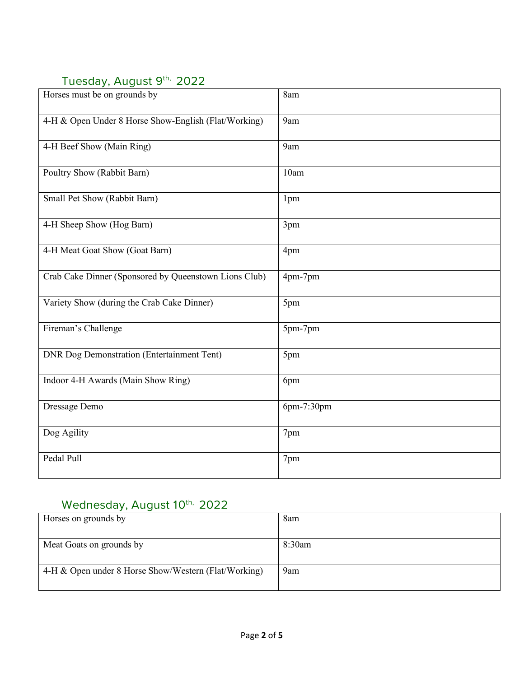## Tuesday, August 9th, 2022

| .                                                     |            |
|-------------------------------------------------------|------------|
| Horses must be on grounds by                          | 8am        |
| 4-H & Open Under 8 Horse Show-English (Flat/Working)  | 9am        |
| 4-H Beef Show (Main Ring)                             | 9am        |
| Poultry Show (Rabbit Barn)                            | 10am       |
| Small Pet Show (Rabbit Barn)                          | 1pm        |
| 4-H Sheep Show (Hog Barn)                             | 3pm        |
| 4-H Meat Goat Show (Goat Barn)                        | 4pm        |
| Crab Cake Dinner (Sponsored by Queenstown Lions Club) | 4pm-7pm    |
| Variety Show (during the Crab Cake Dinner)            | 5pm        |
| Fireman's Challenge                                   | 5pm-7pm    |
| <b>DNR Dog Demonstration (Entertainment Tent)</b>     | 5pm        |
| Indoor 4-H Awards (Main Show Ring)                    | 6pm        |
| Dressage Demo                                         | 6pm-7:30pm |
| Dog Agility                                           | 7pm        |
| Pedal Pull                                            | 7pm        |

# Wednesday, August 10<sup>th,</sup> 2022

| Horses on grounds by                                 | 8am    |
|------------------------------------------------------|--------|
|                                                      |        |
| Meat Goats on grounds by                             | 8:30am |
|                                                      |        |
| 4-H & Open under 8 Horse Show/Western (Flat/Working) | 9am    |
|                                                      |        |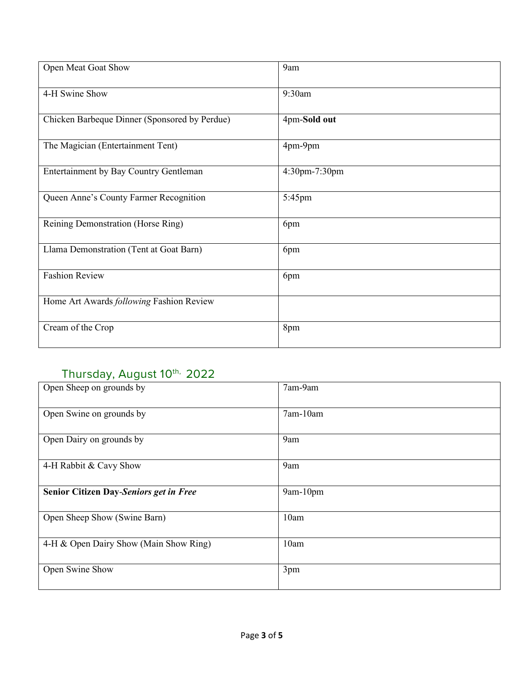| Open Meat Goat Show                           | 9am           |
|-----------------------------------------------|---------------|
| 4-H Swine Show                                | 9:30am        |
| Chicken Barbeque Dinner (Sponsored by Perdue) | 4pm-Sold out  |
| The Magician (Entertainment Tent)             | 4pm-9pm       |
| Entertainment by Bay Country Gentleman        | 4:30pm-7:30pm |
| Queen Anne's County Farmer Recognition        | 5:45pm        |
| Reining Demonstration (Horse Ring)            | 6pm           |
| Llama Demonstration (Tent at Goat Barn)       | 6pm           |
| <b>Fashion Review</b>                         | 6pm           |
| Home Art Awards following Fashion Review      |               |
| Cream of the Crop                             | 8pm           |

# Thursday, August 10<sup>th,</sup> 2022

| Open Sheep on grounds by               | 7am-9am  |
|----------------------------------------|----------|
| Open Swine on grounds by               | 7am-10am |
| Open Dairy on grounds by               | 9am      |
| 4-H Rabbit & Cavy Show                 | 9am      |
| Senior Citizen Day-Seniors get in Free | 9am-10pm |
| Open Sheep Show (Swine Barn)           | 10am     |
| 4-H & Open Dairy Show (Main Show Ring) | 10am     |
| Open Swine Show                        | 3pm      |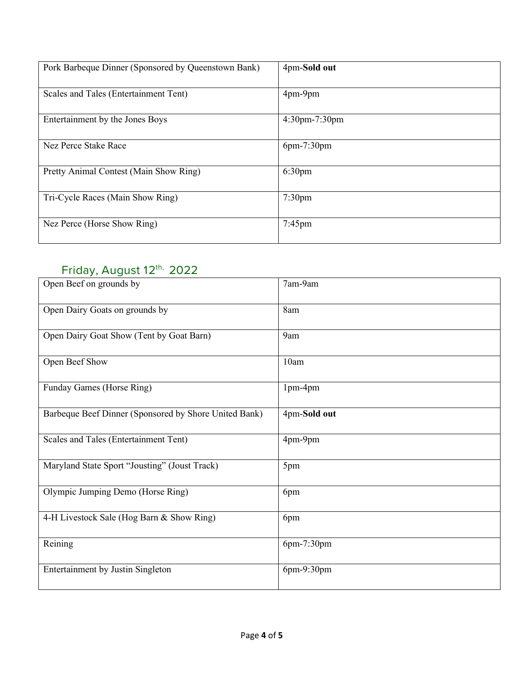| Pork Barbeque Dinner (Sponsored by Queenstown Bank) | 4pm-Sold out       |
|-----------------------------------------------------|--------------------|
| Scales and Tales (Entertainment Tent)               | 4pm-9pm            |
| Entertainment by the Jones Boys                     | $4:30$ pm-7:30pm   |
| Nez Perce Stake Race                                | $6pm-7:30pm$       |
| Pretty Animal Contest (Main Show Ring)              | 6:30 <sub>pm</sub> |
| Tri-Cycle Races (Main Show Ring)                    | $7:30$ pm          |
| Nez Perce (Horse Show Ring)                         | $7:45$ pm          |

## Friday, August 12th, 2022

| Open Beef on grounds by                               | 7am-9am      |
|-------------------------------------------------------|--------------|
| Open Dairy Goats on grounds by                        | 8am          |
| Open Dairy Goat Show (Tent by Goat Barn)              | 9am          |
| Open Beef Show                                        | 10am         |
| Funday Games (Horse Ring)                             | 1pm-4pm      |
| Barbeque Beef Dinner (Sponsored by Shore United Bank) | 4pm-Sold out |
| Scales and Tales (Entertainment Tent)                 | 4pm-9pm      |
| Maryland State Sport "Jousting" (Joust Track)         | 5pm          |
| Olympic Jumping Demo (Horse Ring)                     | 6pm          |
| 4-H Livestock Sale (Hog Barn & Show Ring)             | 6pm          |
| Reining                                               | 6pm-7:30pm   |
| <b>Entertainment by Justin Singleton</b>              | 6pm-9:30pm   |